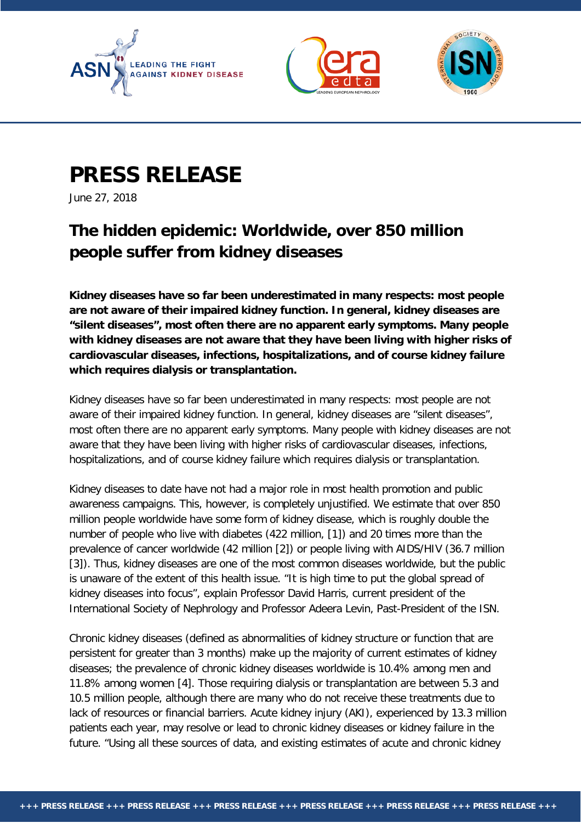





## **PRESS RELEASE**

June 27, 2018

## **The hidden epidemic: Worldwide, over 850 million people suffer from kidney diseases**

**Kidney diseases have so far been underestimated in many respects: most people are not aware of their impaired kidney function. In general, kidney diseases are "silent diseases", most often there are no apparent early symptoms. Many people with kidney diseases are not aware that they have been living with higher risks of cardiovascular diseases, infections, hospitalizations, and of course kidney failure which requires dialysis or transplantation.**

Kidney diseases have so far been underestimated in many respects: most people are not aware of their impaired kidney function. In general, kidney diseases are "silent diseases", most often there are no apparent early symptoms. Many people with kidney diseases are not aware that they have been living with higher risks of cardiovascular diseases, infections, hospitalizations, and of course kidney failure which requires dialysis or transplantation.

Kidney diseases to date have not had a major role in most health promotion and public awareness campaigns. This, however, is completely unjustified. We estimate that over 850 million people worldwide have some form of kidney disease, which is roughly double the number of people who live with diabetes (422 million, [1]) and 20 times more than the prevalence of cancer worldwide (42 million [2]) or people living with AIDS/HIV (36.7 million [3]). Thus, kidney diseases are one of the most common diseases worldwide, but the public is unaware of the extent of this health issue. "It is high time to put the global spread of kidney diseases into focus", explain Professor David Harris, current president of the International Society of Nephrology and Professor Adeera Levin, Past-President of the ISN.

Chronic kidney diseases (defined as abnormalities of kidney structure or function that are persistent for greater than 3 months) make up the majority of current estimates of kidney diseases; the prevalence of chronic kidney diseases worldwide is 10.4% among men and 11.8% among women [4]. Those requiring dialysis or transplantation are between 5.3 and 10.5 million people, although there are many who do not receive these treatments due to lack of resources or financial barriers. Acute kidney injury (AKI), experienced by 13.3 million patients each year, may resolve or lead to chronic kidney diseases or kidney failure in the future. "Using all these sources of data, and existing estimates of acute and chronic kidney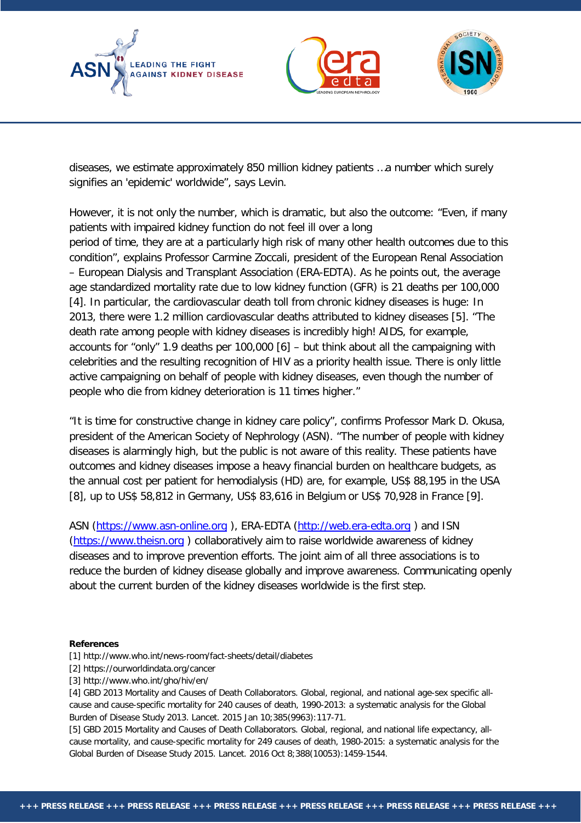





diseases, we estimate approximately 850 million kidney patients …a number which surely signifies an 'epidemic' worldwide", says Levin.

However, it is not only the number, which is dramatic, but also the outcome: "Even, if many patients with impaired kidney function do not feel ill over a long period of time, they are at a particularly high risk of many other health outcomes due to this condition", explains Professor Carmine Zoccali, president of the European Renal Association – European Dialysis and Transplant Association (ERA-EDTA). As he points out, the average age standardized mortality rate due to low kidney function (GFR) is 21 deaths per 100,000 [4]. In particular, the cardiovascular death toll from chronic kidney diseases is huge: In 2013, there were 1.2 million cardiovascular deaths attributed to kidney diseases [5]. "The death rate among people with kidney diseases is incredibly high! AIDS, for example, accounts for "only" 1.9 deaths per 100,000 [6] – but think about all the campaigning with celebrities and the resulting recognition of HIV as a priority health issue. There is only little active campaigning on behalf of people with kidney diseases, even though the number of people who die from kidney deterioration is 11 times higher."

"It is time for constructive change in kidney care policy", confirms Professor Mark D. Okusa, president of the American Society of Nephrology (ASN). "The number of people with kidney diseases is alarmingly high, but the public is not aware of this reality. These patients have outcomes and kidney diseases impose a heavy financial burden on healthcare budgets, as the annual cost per patient for hemodialysis (HD) are, for example, US\$ 88,195 in the USA [8], up to US\$ 58,812 in Germany, US\$ 83,616 in Belgium or US\$ 70,928 in France [9].

ASN [\(https://www.asn-online.org](https://www.asn-online.org/) ), ERA-EDTA [\(http://web.era-edta.org](http://web.era-edta.org/) ) and ISN [\(https://www.theisn.org](https://www.theisn.org/) ) collaboratively aim to raise worldwide awareness of kidney diseases and to improve prevention efforts. The joint aim of all three associations is to reduce the burden of kidney disease globally and improve awareness. Communicating openly about the current burden of the kidney diseases worldwide is the first step.

## **References**

- [1] http://www.who.int/news-room/fact-sheets/detail/diabetes
- [2] https://ourworldindata.org/cancer
- [3] http://www.who.int/gho/hiv/en/

[4] GBD 2013 Mortality and Causes of Death Collaborators. Global, regional, and national age-sex specific allcause and cause-specific mortality for 240 causes of death, 1990-2013: a systematic analysis for the Global Burden of Disease Study 2013. Lancet. 2015 Jan 10;385(9963):117-71.

[5] GBD 2015 Mortality and Causes of Death Collaborators. Global, regional, and national life expectancy, allcause mortality, and cause-specific mortality for 249 causes of death, 1980-2015: a systematic analysis for the Global Burden of Disease Study 2015. Lancet. 2016 Oct 8;388(10053):1459-1544.